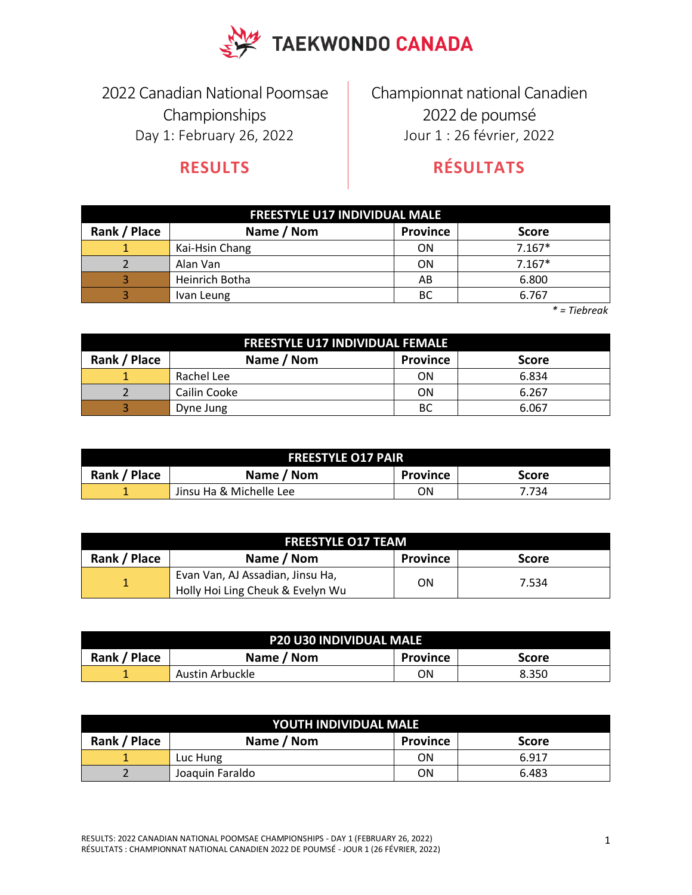

2022 Canadian National Poomsae Championships Day 1: February 26, 2022

## **RESULTS**

Championnat national Canadien 2022 de poumsé Jour 1 : 26 février, 2022

## **RÉSULTATS**

| <b>FREESTYLE U17 INDIVIDUAL MALE</b> |                |                 |              |  |
|--------------------------------------|----------------|-----------------|--------------|--|
| Rank / Place                         | Name / Nom     | <b>Province</b> | <b>Score</b> |  |
|                                      | Kai-Hsin Chang | ON              | $7.167*$     |  |
|                                      | Alan Van       | ON              | $7.167*$     |  |
|                                      | Heinrich Botha | AB              | 6.800        |  |
|                                      | Ivan Leung     | <b>BC</b>       | 6.767        |  |

 *\* = Tiebreak*

| <b>FREESTYLE U17 INDIVIDUAL FEMALE</b> |                                               |           |       |  |  |  |
|----------------------------------------|-----------------------------------------------|-----------|-------|--|--|--|
| Rank / Place                           | Name / Nom<br><b>Province</b><br><b>Score</b> |           |       |  |  |  |
|                                        | Rachel Lee                                    | <b>ON</b> | 6.834 |  |  |  |
|                                        | Cailin Cooke                                  | ON        | 6.267 |  |  |  |
|                                        | Dyne Jung                                     | ВC        | 6.067 |  |  |  |

| <b>FREESTYLE 017 PAIR</b>                                     |                         |    |       |  |
|---------------------------------------------------------------|-------------------------|----|-------|--|
| Rank / Place<br>Name / Nom<br><b>Province</b><br><b>Score</b> |                         |    |       |  |
| --                                                            | Jinsu Ha & Michelle Lee | ΟN | 7.734 |  |

| <b>FREESTYLE 017 TEAM</b> |                                                                      |                 |       |  |
|---------------------------|----------------------------------------------------------------------|-----------------|-------|--|
| Rank / Place              | Name / Nom                                                           | <b>Province</b> | Score |  |
|                           | Evan Van, AJ Assadian, Jinsu Ha,<br>Holly Hoi Ling Cheuk & Evelyn Wu | ON              | 7.534 |  |

| <b>P20 U30 INDIVIDUAL MALE</b> |                                               |    |       |  |  |  |
|--------------------------------|-----------------------------------------------|----|-------|--|--|--|
| Rank / Place                   | Name / Nom<br><b>Province</b><br><b>Score</b> |    |       |  |  |  |
| 1                              | Austin Arbuckle                               | ΟN | 8.350 |  |  |  |

| YOUTH INDIVIDUAL MALE |                                        |           |       |  |  |
|-----------------------|----------------------------------------|-----------|-------|--|--|
| Rank / Place          | Name / Nom<br>Province<br><b>Score</b> |           |       |  |  |
|                       | Luc Hung                               | <b>ON</b> | 6.917 |  |  |
|                       | Joaquin Faraldo                        | ΟN        | 6.483 |  |  |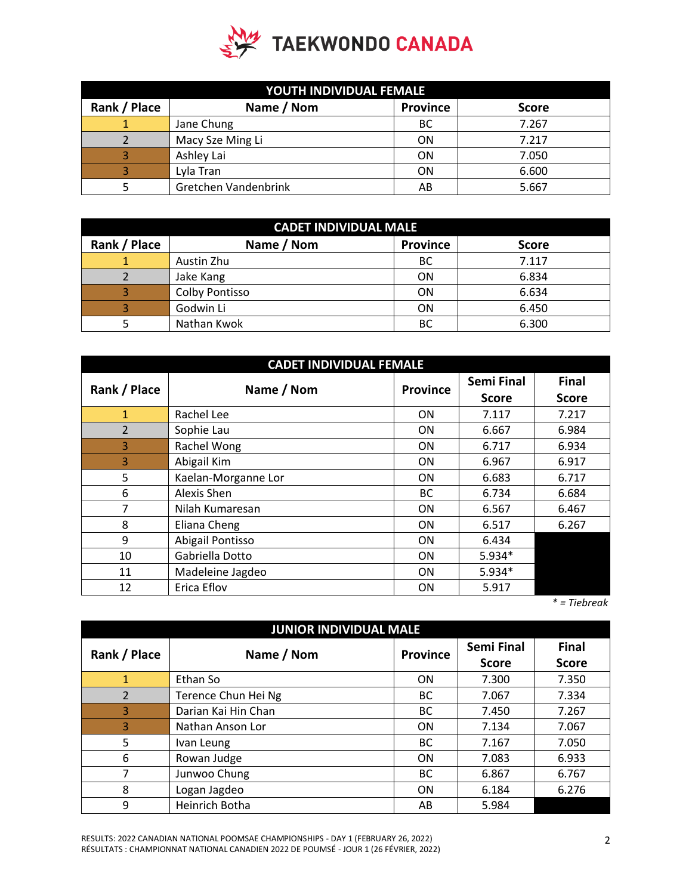

| YOUTH INDIVIDUAL FEMALE |                      |                 |              |  |
|-------------------------|----------------------|-----------------|--------------|--|
| Rank / Place            | Name / Nom           | <b>Province</b> | <b>Score</b> |  |
|                         | Jane Chung           | BC              | 7.267        |  |
|                         | Macy Sze Ming Li     | ON              | 7.217        |  |
|                         | Ashley Lai           | <b>ON</b>       | 7.050        |  |
|                         | Lyla Tran            | <b>ON</b>       | 6.600        |  |
|                         | Gretchen Vandenbrink | AB              | 5.667        |  |

| <b>CADET INDIVIDUAL MALE</b> |                |                 |              |  |
|------------------------------|----------------|-----------------|--------------|--|
| Rank / Place                 | Name / Nom     | <b>Province</b> | <b>Score</b> |  |
| 1                            | Austin Zhu     | BC              | 7.117        |  |
|                              | Jake Kang      | <b>ON</b>       | 6.834        |  |
| 3                            | Colby Pontisso | <b>ON</b>       | 6.634        |  |
| 3                            | Godwin Li      | <b>ON</b>       | 6.450        |  |
|                              | Nathan Kwok    | <b>BC</b>       | 6.300        |  |

| <b>CADET INDIVIDUAL FEMALE</b> |                     |                 |                   |              |
|--------------------------------|---------------------|-----------------|-------------------|--------------|
| Rank / Place                   | Name / Nom          | <b>Province</b> | <b>Semi Final</b> | <b>Final</b> |
|                                |                     |                 | <b>Score</b>      | <b>Score</b> |
| 1                              | Rachel Lee          | <b>ON</b>       | 7.117             | 7.217        |
| $\overline{2}$                 | Sophie Lau          | <b>ON</b>       | 6.667             | 6.984        |
| 3                              | Rachel Wong         | <b>ON</b>       | 6.717             | 6.934        |
| 3                              | Abigail Kim         | <b>ON</b>       | 6.967             | 6.917        |
| 5                              | Kaelan-Morganne Lor | 0N              | 6.683             | 6.717        |
| 6                              | Alexis Shen         | <b>BC</b>       | 6.734             | 6.684        |
| 7                              | Nilah Kumaresan     | 0N              | 6.567             | 6.467        |
| 8                              | Eliana Cheng        | ON              | 6.517             | 6.267        |
| 9                              | Abigail Pontisso    | <b>ON</b>       | 6.434             |              |
| 10                             | Gabriella Dotto     | <b>ON</b>       | 5.934*            |              |
| 11                             | Madeleine Jagdeo    | 0N              | 5.934*            |              |
| 12                             | Erica Eflov         | <b>ON</b>       | 5.917             |              |

 *\* = Tiebreak*

| <b>JUNIOR INDIVIDUAL MALE</b> |                       |                 |                                   |                              |
|-------------------------------|-----------------------|-----------------|-----------------------------------|------------------------------|
| Rank / Place                  | Name / Nom            | <b>Province</b> | <b>Semi Final</b><br><b>Score</b> | <b>Final</b><br><b>Score</b> |
| $\mathbf{1}$                  | Ethan So              | ON              | 7.300                             | 7.350                        |
| $\overline{2}$                | Terence Chun Hei Ng   | <b>BC</b>       | 7.067                             | 7.334                        |
| 3                             | Darian Kai Hin Chan   | <b>BC</b>       | 7.450                             | 7.267                        |
| 3                             | Nathan Anson Lor      | <b>ON</b>       | 7.134                             | 7.067                        |
| 5                             | Ivan Leung            | <b>BC</b>       | 7.167                             | 7.050                        |
| 6                             | Rowan Judge           | <b>ON</b>       | 7.083                             | 6.933                        |
| 7                             | Junwoo Chung          | BC              | 6.867                             | 6.767                        |
| 8                             | Logan Jagdeo          | <b>ON</b>       | 6.184                             | 6.276                        |
| 9                             | <b>Heinrich Botha</b> | AB              | 5.984                             |                              |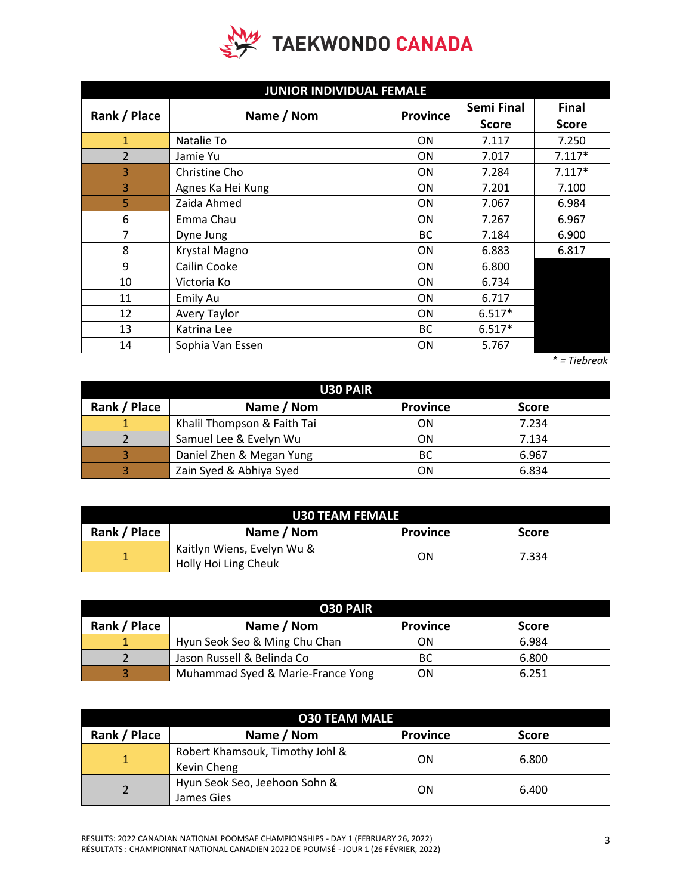

| <b>JUNIOR INDIVIDUAL FEMALE</b> |                   |                 |              |              |
|---------------------------------|-------------------|-----------------|--------------|--------------|
| Rank / Place                    | Name / Nom        | <b>Province</b> | Semi Final   | <b>Final</b> |
|                                 |                   |                 | <b>Score</b> | <b>Score</b> |
| $\mathbf{1}$                    | Natalie To        | <b>ON</b>       | 7.117        | 7.250        |
| $\overline{2}$                  | Jamie Yu          | <b>ON</b>       | 7.017        | $7.117*$     |
| 3                               | Christine Cho     | <b>ON</b>       | 7.284        | $7.117*$     |
| 3                               | Agnes Ka Hei Kung | <b>ON</b>       | 7.201        | 7.100        |
| 5                               | Zaida Ahmed       | <b>ON</b>       | 7.067        | 6.984        |
| 6                               | Emma Chau         | <b>ON</b>       | 7.267        | 6.967        |
| $\overline{7}$                  | Dyne Jung         | BC              | 7.184        | 6.900        |
| 8                               | Krystal Magno     | <b>ON</b>       | 6.883        | 6.817        |
| 9                               | Cailin Cooke      | <b>ON</b>       | 6.800        |              |
| 10                              | Victoria Ko       | <b>ON</b>       | 6.734        |              |
| 11                              | Emily Au          | <b>ON</b>       | 6.717        |              |
| 12                              | Avery Taylor      | <b>ON</b>       | $6.517*$     |              |
| 13                              | Katrina Lee       | BC              | $6.517*$     |              |
| 14                              | Sophia Van Essen  | ON              | 5.767        |              |

 *\* = Tiebreak*

| <b>U30 PAIR</b> |                             |                 |              |  |
|-----------------|-----------------------------|-----------------|--------------|--|
| Rank / Place    | Name / Nom                  | <b>Province</b> | <b>Score</b> |  |
|                 | Khalil Thompson & Faith Tai | ON              | 7.234        |  |
|                 | Samuel Lee & Evelyn Wu      | ON              | 7.134        |  |
| 3               | Daniel Zhen & Megan Yung    | BC              | 6.967        |  |
|                 | Zain Syed & Abhiya Syed     | ΟN              | 6.834        |  |

| <b>U30 TEAM FEMALE</b> |                            |                 |              |  |  |
|------------------------|----------------------------|-----------------|--------------|--|--|
| Rank / Place           | Name / Nom                 | <b>Province</b> | <b>Score</b> |  |  |
| 1                      | Kaitlyn Wiens, Evelyn Wu & | ON              | 7.334        |  |  |
|                        | Holly Hoi Ling Cheuk       |                 |              |  |  |

| <b>O30 PAIR</b> |                                   |                 |              |  |
|-----------------|-----------------------------------|-----------------|--------------|--|
| Rank / Place    | Name / Nom                        | <b>Province</b> | <b>Score</b> |  |
|                 | Hyun Seok Seo & Ming Chu Chan     | ON              | 6.984        |  |
|                 | Jason Russell & Belinda Co        | ВC              | 6.800        |  |
|                 | Muhammad Syed & Marie-France Yong | ΟN              | 6.251        |  |

| <b>O30 TEAM MALE</b> |                                                |                 |              |  |
|----------------------|------------------------------------------------|-----------------|--------------|--|
| Rank / Place         | Name / Nom                                     | <b>Province</b> | <b>Score</b> |  |
|                      | Robert Khamsouk, Timothy Johl &<br>Kevin Cheng | ON              | 6.800        |  |
|                      | Hyun Seok Seo, Jeehoon Sohn &<br>James Gies    | ON              | 6.400        |  |